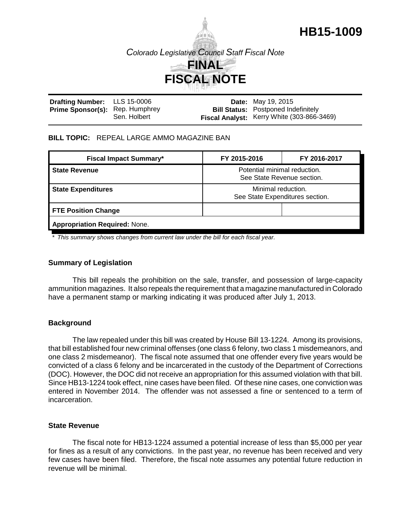

| Drafting Number: LLS 15-0006           |              | <b>Date:</b> May 19, 2015                                                                |
|----------------------------------------|--------------|------------------------------------------------------------------------------------------|
| <b>Prime Sponsor(s):</b> Rep. Humphrey | Sen. Holbert | <b>Bill Status:</b> Postponed Indefinitely<br>Fiscal Analyst: Kerry White (303-866-3469) |

### **BILL TOPIC:** REPEAL LARGE AMMO MAGAZINE BAN

| <b>Fiscal Impact Summary*</b>                                                      | FY 2015-2016                                          | FY 2016-2017 |  |  |
|------------------------------------------------------------------------------------|-------------------------------------------------------|--------------|--|--|
| Potential minimal reduction.<br><b>State Revenue</b><br>See State Revenue section. |                                                       |              |  |  |
| <b>State Expenditures</b>                                                          | Minimal reduction.<br>See State Expenditures section. |              |  |  |
| <b>FTE Position Change</b>                                                         |                                                       |              |  |  |
| <b>Appropriation Required: None.</b>                                               |                                                       |              |  |  |

*\* This summary shows changes from current law under the bill for each fiscal year.* 

## **Summary of Legislation**

This bill repeals the prohibition on the sale, transfer, and possession of large-capacity ammunition magazines. It also repeals the requirement that a magazine manufactured in Colorado have a permanent stamp or marking indicating it was produced after July 1, 2013.

## **Background**

The law repealed under this bill was created by House Bill 13-1224. Among its provisions, that bill established four new criminal offenses (one class 6 felony, two class 1 misdemeanors, and one class 2 misdemeanor). The fiscal note assumed that one offender every five years would be convicted of a class 6 felony and be incarcerated in the custody of the Department of Corrections (DOC). However, the DOC did not receive an appropriation for this assumed violation with that bill. Since HB13-1224 took effect, nine cases have been filed. Of these nine cases, one conviction was entered in November 2014. The offender was not assessed a fine or sentenced to a term of incarceration.

### **State Revenue**

The fiscal note for HB13-1224 assumed a potential increase of less than \$5,000 per year for fines as a result of any convictions. In the past year, no revenue has been received and very few cases have been filed. Therefore, the fiscal note assumes any potential future reduction in revenue will be minimal.